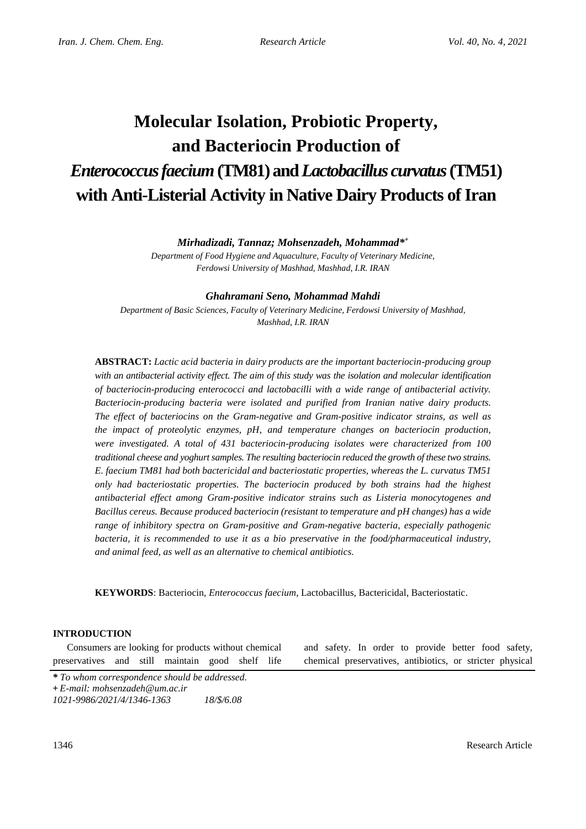# **Molecular Isolation, Probiotic Property, and Bacteriocin Production of** *Enterococcus faecium***(TM81) and** *Lactobacillus curvatus***(TM51) with Anti-Listerial Activity in Native Dairy Products of Iran**

# *Mirhadizadi, Tannaz; Mohsenzadeh, Mohammad\* +*

*Department of Food Hygiene and Aquaculture, Faculty of Veterinary Medicine, Ferdowsi University of Mashhad, Mashhad, I.R. IRAN*

## *Ghahramani Seno, Mohammad Mahdi*

*Department of Basic Sciences, Faculty of Veterinary Medicine, Ferdowsi University of Mashhad, Mashhad, I.R. IRAN*

**ABSTRACT:** *Lactic acid bacteria in dairy products are the important bacteriocin-producing group with an antibacterial activity effect. The aim of this study was the isolation and molecular identification of bacteriocin-producing enterococci and lactobacilli with a wide range of antibacterial activity. Bacteriocin-producing bacteria were isolated and purified from Iranian native dairy products. The effect of bacteriocins on the Gram-negative and Gram-positive indicator strains, as well as the impact of proteolytic enzymes, pH, and temperature changes on bacteriocin production, were investigated. A total of 431 bacteriocin-producing isolates were characterized from 100 traditional cheese and yoghurt samples. The resulting bacteriocin reduced the growth of these two strains. E. faecium TM81 had both bactericidal and bacteriostatic properties, whereas the L. curvatus TM51 only had bacteriostatic properties. The bacteriocin produced by both strains had the highest antibacterial effect among Gram-positive indicator strains such as Listeria monocytogenes and Bacillus cereus. Because produced bacteriocin (resistant to temperature and pH changes) has a wide range of inhibitory spectra on Gram-positive and Gram-negative bacteria, especially pathogenic bacteria, it is recommended to use it as a bio preservative in the food/pharmaceutical industry, and animal feed, as well as an alternative to chemical antibiotics.*

**KEYWORDS**: Bacteriocin, *Enterococcus faecium*, Lactobacillus, Bactericidal, Bacteriostatic.

## **INTRODUCTION**

Consumers are looking for products without chemical preservatives and still maintain good shelf life

and safety. In order to provide better food safety, chemical preservatives, antibiotics, or stricter physical

*<sup>\*</sup> To whom correspondence should be addressed.*

**<sup>+</sup>** *E-mail: mohsenzadeh@um.ac.ir*

*<sup>1021-9986/2021/4/1346-1363 18/\$/6.08</sup>*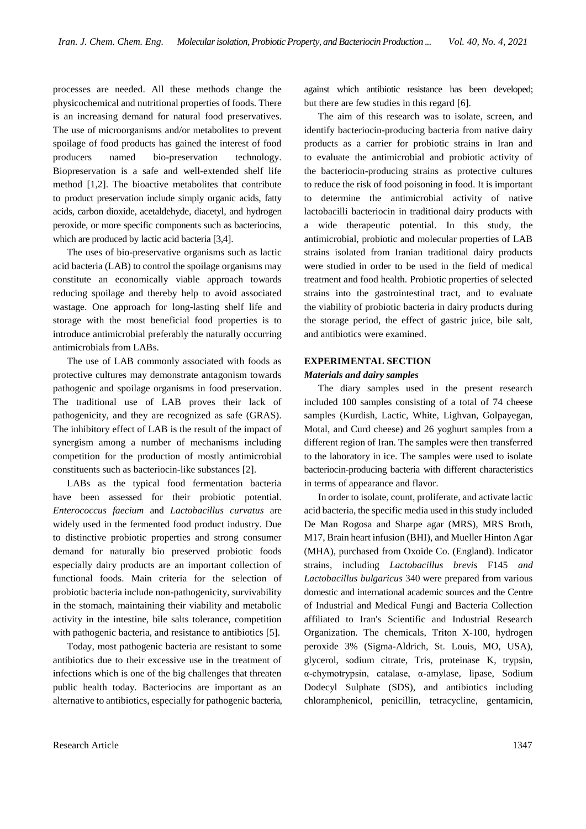processes are needed. All these methods change the physicochemical and nutritional properties of foods. There is an increasing demand for natural food preservatives. The use of microorganisms and/or metabolites to prevent spoilage of food products has gained the interest of food producers named bio-preservation technology. Biopreservation is a safe and well-extended shelf life method [1,2]. The bioactive metabolites that contribute to product preservation include simply organic acids, fatty acids, carbon dioxide, acetaldehyde, diacetyl, and hydrogen peroxide, or more specific components such as bacteriocins, which are produced by lactic acid bacteria [3,4].

The uses of bio-preservative organisms such as lactic acid bacteria (LAB) to control the spoilage organisms may constitute an economically viable approach towards reducing spoilage and thereby help to avoid associated wastage. One approach for long-lasting shelf life and storage with the most beneficial food properties is to introduce antimicrobial preferably the naturally occurring antimicrobials from LABs.

The use of LAB commonly associated with foods as protective cultures may demonstrate antagonism towards pathogenic and spoilage organisms in food preservation. The traditional use of LAB proves their lack of pathogenicity, and they are recognized as safe (GRAS). The inhibitory effect of LAB is the result of the impact of synergism among a number of mechanisms including competition for the production of mostly antimicrobial constituents such as bacteriocin-like substances [2].

LABs as the typical food fermentation bacteria have been assessed for their probiotic potential. *Enterococcus faecium* and *Lactobacillus curvatus* are widely used in the fermented food product industry. Due to distinctive probiotic properties and strong consumer demand for naturally bio preserved probiotic foods especially dairy products are an important collection of functional foods. Main criteria for the selection of probiotic bacteria include non-pathogenicity, survivability in the stomach, maintaining their viability and metabolic activity in the intestine, bile salts tolerance, competition with pathogenic bacteria, and resistance to antibiotics [5].

Today, most pathogenic bacteria are resistant to some antibiotics due to their excessive use in the treatment of infections which is one of the big challenges that threaten public health today. Bacteriocins are important as an alternative to antibiotics, especially for pathogenic bacteria,

against which antibiotic resistance has been developed; but there are few studies in this regard [6].

The aim of this research was to isolate, screen, and identify bacteriocin-producing bacteria from native dairy products as a carrier for probiotic strains in Iran and to evaluate the antimicrobial and probiotic activity of the bacteriocin-producing strains as protective cultures to reduce the risk of food poisoning in food. It is important to determine the antimicrobial activity of native lactobacilli bacteriocin in traditional dairy products with a wide therapeutic potential. In this study, the antimicrobial, probiotic and molecular properties of LAB strains isolated from Iranian traditional dairy products were studied in order to be used in the field of medical treatment and food health. Probiotic properties of selected strains into the gastrointestinal tract, and to evaluate the viability of probiotic bacteria in dairy products during the storage period, the effect of gastric juice, bile salt, and antibiotics were examined.

# **EXPERIMENTAL SECTION** *Materials and dairy samples*

The diary samples used in the present research included 100 samples consisting of a total of 74 cheese samples (Kurdish, Lactic, White, Lighvan, Golpayegan, Motal, and Curd cheese) and 26 yoghurt samples from a different region of Iran. The samples were then transferred to the laboratory in ice. The samples were used to isolate bacteriocin-producing bacteria with different characteristics in terms of appearance and flavor.

In order to isolate, count, proliferate, and activate lactic acid bacteria, the specific media used in this study included De Man Rogosa and Sharpe agar (MRS), MRS Broth, M17, Brain heart infusion (BHI), and Mueller Hinton Agar (MHA), purchased from Oxoide Co. (England). Indicator strains, including *Lactobacillus brevis* F145 *and Lactobacillus bulgaricus* 340 were prepared from various domestic and international academic sources and the Centre of Industrial and Medical Fungi and Bacteria Collection affiliated to Iran's Scientific and Industrial Research Organization. The chemicals, Triton X-100, hydrogen peroxide 3% (Sigma-Aldrich, St. Louis, MO, USA), glycerol, sodium citrate, Tris, proteinase K, trypsin, α-chymotrypsin, catalase, α-amylase, lipase, Sodium Dodecyl Sulphate (SDS), and antibiotics including chloramphenicol, penicillin, tetracycline, gentamicin,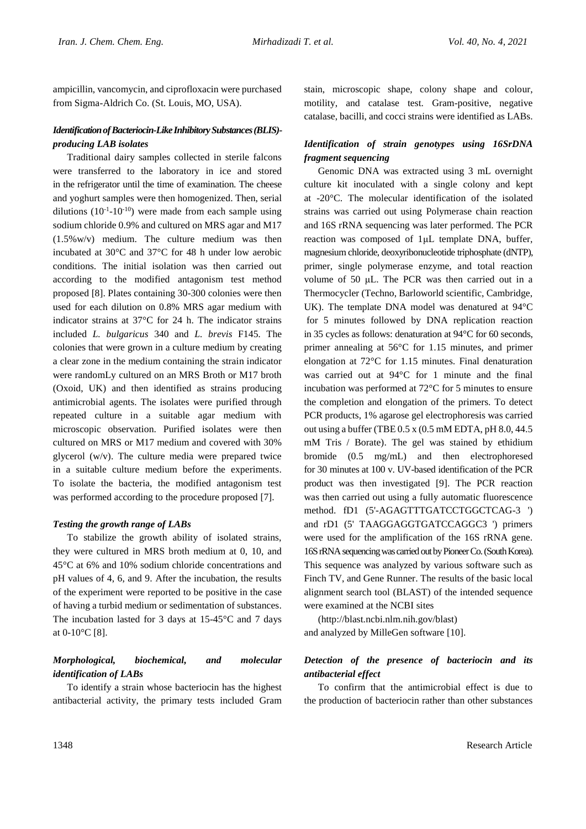ampicillin, vancomycin, and ciprofloxacin were purchased from Sigma-Aldrich Co. (St. Louis, MO, USA).

# *Identification of Bacteriocin-Like Inhibitory Substances(BLIS) producing LAB isolates*

Traditional dairy samples collected in sterile falcons were transferred to the laboratory in ice and stored in the refrigerator until the time of examination. The cheese and yoghurt samples were then homogenized. Then, serial dilutions  $(10^{-1}$ -10<sup>-10</sup>) were made from each sample using sodium chloride 0.9% and cultured on MRS agar and M17 (1.5%w/v) medium. The culture medium was then incubated at 30°C and 37°C for 48 h under low aerobic conditions. The initial isolation was then carried out according to the modified antagonism test method proposed [8]. Plates containing 30-300 colonies were then used for each dilution on 0.8% MRS agar medium with indicator strains at 37°C for 24 h. The indicator strains included *L. bulgaricus* 340 and *L. brevis* F145*.* The colonies that were grown in a culture medium by creating a clear zone in the medium containing the strain indicator were randomLy cultured on an MRS Broth or M17 broth (Oxoid, UK) and then identified as strains producing antimicrobial agents. The isolates were purified through repeated culture in a suitable agar medium with microscopic observation. Purified isolates were then cultured on MRS or M17 medium and covered with 30% glycerol (w/v). The culture media were prepared twice in a suitable culture medium before the experiments. To isolate the bacteria, the modified antagonism test was performed according to the procedure proposed [7].

## *Testing the growth range of LABs*

To stabilize the growth ability of isolated strains, they were cultured in MRS broth medium at 0, 10, and 45°C at 6% and 10% sodium chloride concentrations and pH values of 4, 6, and 9. After the incubation, the results of the experiment were reported to be positive in the case of having a turbid medium or sedimentation of substances. The incubation lasted for 3 days at 15-45°C and 7 days at 0-10°C [8].

# *Morphological, biochemical, and molecular identification of LABs*

To identify a strain whose bacteriocin has the highest antibacterial activity, the primary tests included Gram

stain, microscopic shape, colony shape and colour, motility, and catalase test. Gram-positive, negative catalase, bacilli, and cocci strains were identified as LABs.

# *Identification of strain genotypes using 16SrDNA fragment sequencing*

Genomic DNA was extracted using 3 mL overnight culture kit inoculated with a single colony and kept at -20°C. The molecular identification of the isolated strains was carried out using Polymerase chain reaction and 16S rRNA sequencing was later performed. The PCR reaction was composed of 1μL template DNA, buffer, magnesium chloride, deoxyribonucleotide triphosphate (dNTP), primer, single polymerase enzyme, and total reaction volume of 50 μL. The PCR was then carried out in a Thermocycler (Techno, Barloworld scientific, Cambridge, UK). The template DNA model was denatured at 94°C for 5 minutes followed by DNA replication reaction in 35 cycles as follows: denaturation at 94°C for 60 seconds, primer annealing at 56°C for 1.15 minutes, and primer elongation at 72°C for 1.15 minutes. Final denaturation was carried out at 94°C for 1 minute and the final incubation was performed at 72°C for 5 minutes to ensure the completion and elongation of the primers. To detect PCR products, 1% agarose gel electrophoresis was carried out using a buffer (TBE 0.5 x (0.5 mM EDTA, pH 8.0, 44.5 mM Tris / Borate). The gel was stained by ethidium bromide (0.5 mg/mL) and then electrophoresed for 30 minutes at 100 v. UV-based identification of the PCR product was then investigated [9]. The PCR reaction was then carried out using a fully automatic fluorescence method. fD1 (5'-AGAGTTTGATCCTGGCTCAG-3) and rD1 (5' TAAGGAGGTGATCCAGGC3 ') primers were used for the amplification of the 16S rRNA gene. 16S rRNA sequencing was carried out by Pioneer Co. (South Korea). This sequence was analyzed by various software such as Finch TV, and Gene Runner. The results of the basic local alignment search tool (BLAST) of the intended sequence were examined at the NCBI sites

(http://blast.ncbi.nlm.nih.gov/blast) and analyzed by MilleGen software [10].

# *Detection of the presence of bacteriocin and its antibacterial effect*

To confirm that the antimicrobial effect is due to the production of bacteriocin rather than other substances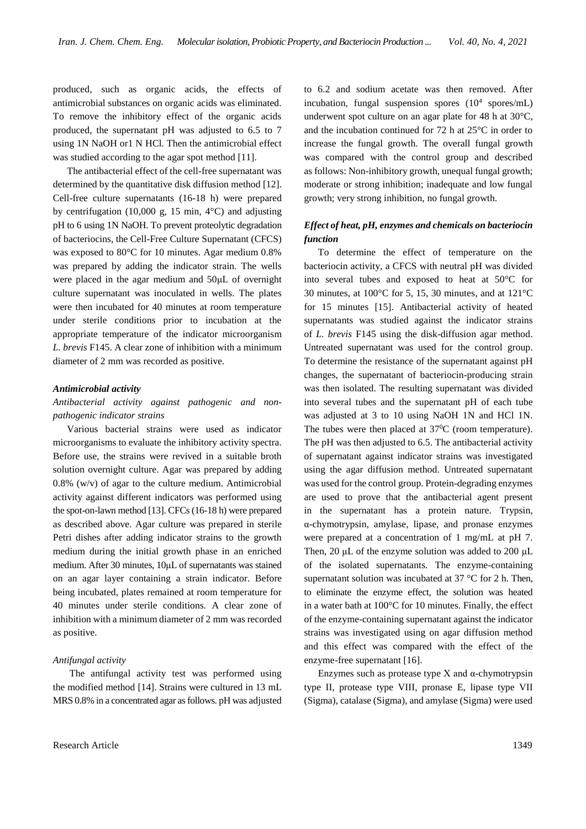produced, such as organic acids, the effects of antimicrobial substances on organic acids was eliminated. To remove the inhibitory effect of the organic acids produced, the supernatant pH was adjusted to 6.5 to 7 using 1N NaOH or1 N HCl. Then the antimicrobial effect was studied according to the agar spot method [11].

The antibacterial effect of the cell-free supernatant was determined by the quantitative disk diffusion method [12]. Cell-free culture supernatants (16-18 h) were prepared by centrifugation (10,000 g, 15 min, 4°C) and adjusting pH to 6 using 1N NaOH. To prevent proteolytic degradation of bacteriocins, the Cell-Free Culture Supernatant (CFCS) was exposed to 80°C for 10 minutes. Agar medium 0.8% was prepared by adding the indicator strain. The wells were placed in the agar medium and 50μL of overnight culture supernatant was inoculated in wells. The plates were then incubated for 40 minutes at room temperature under sterile conditions prior to incubation at the appropriate temperature of the indicator microorganism *L. brevis* F145. A clear zone of inhibition with a minimum diameter of 2 mm was recorded as positive.

#### *Antimicrobial activity*

## *Antibacterial activity against pathogenic and nonpathogenic indicator strains*

Various bacterial strains were used as indicator microorganisms to evaluate the inhibitory activity spectra. Before use, the strains were revived in a suitable broth solution overnight culture. Agar was prepared by adding 0.8% (w/v) of agar to the culture medium. Antimicrobial activity against different indicators was performed using the spot-on-lawn method [13]. CFCs(16-18 h) were prepared as described above. Agar culture was prepared in sterile Petri dishes after adding indicator strains to the growth medium during the initial growth phase in an enriched medium. After 30 minutes, 10μL of supernatants was stained on an agar layer containing a strain indicator. Before being incubated, plates remained at room temperature for 40 minutes under sterile conditions. A clear zone of inhibition with a minimum diameter of 2 mm was recorded as positive.

#### *Antifungal activity*

The antifungal activity test was performed using the modified method [14]. Strains were cultured in 13 mL MRS 0.8% in a concentrated agar as follows. pH was adjusted to 6.2 and sodium acetate was then removed. After incubation, fungal suspension spores (10<sup>4</sup> spores/mL) underwent spot culture on an agar plate for 48 h at 30°C, and the incubation continued for 72 h at 25°C in order to increase the fungal growth. The overall fungal growth was compared with the control group and described as follows: Non-inhibitory growth, unequal fungal growth; moderate or strong inhibition; inadequate and low fungal growth; very strong inhibition, no fungal growth.

## *Effect of heat, pH, enzymes and chemicals on bacteriocin function*

To determine the effect of temperature on the bacteriocin activity, a CFCS with neutral pH was divided into several tubes and exposed to heat at 50°C for 30 minutes, at 100°C for 5, 15, 30 minutes, and at 121°C for 15 minutes [15]. Antibacterial activity of heated supernatants was studied against the indicator strains of *L. brevis* F145 using the disk-diffusion agar method. Untreated supernatant was used for the control group. To determine the resistance of the supernatant against pH changes, the supernatant of bacteriocin-producing strain was then isolated. The resulting supernatant was divided into several tubes and the supernatant pH of each tube was adjusted at 3 to 10 using NaOH 1N and HCl 1N. The tubes were then placed at  $37^{\circ}$ C (room temperature). The pH was then adjusted to 6.5. The antibacterial activity of supernatant against indicator strains was investigated using the agar diffusion method. Untreated supernatant was used for the control group. Protein-degrading enzymes are used to prove that the antibacterial agent present in the supernatant has a protein nature. Trypsin, α-chymotrypsin, amylase, lipase, and pronase enzymes were prepared at a concentration of 1 mg/mL at pH 7. Then, 20 μL of the enzyme solution was added to 200 μL of the isolated supernatants. The enzyme-containing supernatant solution was incubated at 37 °C for 2 h. Then, to eliminate the enzyme effect, the solution was heated in a water bath at 100°C for 10 minutes. Finally, the effect of the enzyme-containing supernatant against the indicator strains was investigated using on agar diffusion method and this effect was compared with the effect of the enzyme-free supernatant [16].

Enzymes such as protease type X and  $\alpha$ -chymotrypsin type II, protease type VIII, pronase E, lipase type VII (Sigma), catalase (Sigma), and amylase (Sigma) were used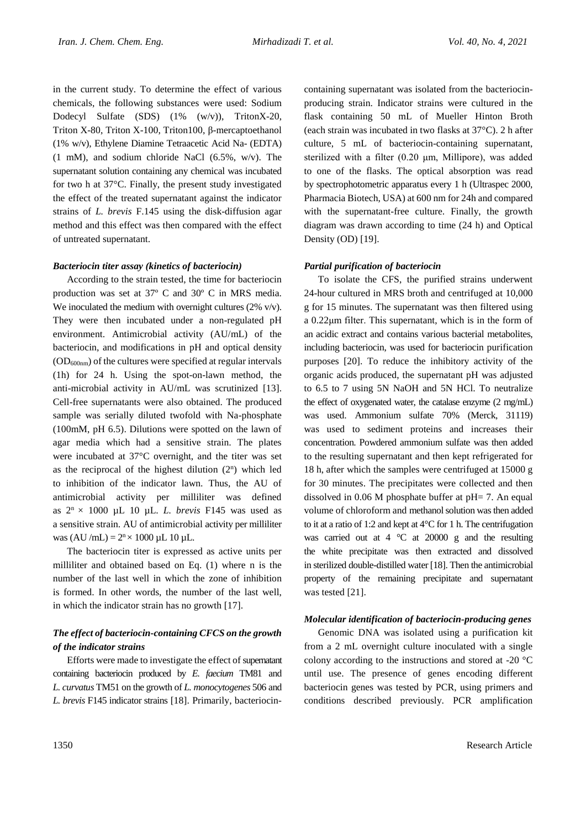in the current study. To determine the effect of various chemicals, the following substances were used: Sodium Dodecyl Sulfate (SDS) (1% (w/v)), TritonX-20, Triton X-80, Triton X-100, Triton100, β-mercaptoethanol (1% w/v), Ethylene Diamine Tetraacetic Acid Na- (EDTA) (1 mM), and sodium chloride NaCl (6.5%, w/v). The supernatant solution containing any chemical was incubated for two h at 37°C. Finally, the present study investigated the effect of the treated supernatant against the indicator strains of *L. brevis* F.145 using the disk-diffusion agar method and this effect was then compared with the effect of untreated supernatant.

## *Bacteriocin titer assay (kinetics of bacteriocin)*

According to the strain tested, the time for bacteriocin production was set at 37º C and 30º C in MRS media. We inoculated the medium with overnight cultures (2% v/v). They were then incubated under a non-regulated pH environment. Antimicrobial activity (AU/mL) of the bacteriocin, and modifications in pH and optical density  $(OD_{600nm})$  of the cultures were specified at regular intervals (1h) for 24 h. Using the spot-on-lawn method, the anti-microbial activity in AU/mL was scrutinized [13]. Cell-free supernatants were also obtained. The produced sample was serially diluted twofold with Na-phosphate (100mM, pH 6.5). Dilutions were spotted on the lawn of agar media which had a sensitive strain. The plates were incubated at 37°C overnight, and the titer was set as the reciprocal of the highest dilution  $(2^n)$  which led to inhibition of the indicator lawn. Thus, the AU of antimicrobial activity per milliliter was defined as  $2^n \times 1000$  µL 10 µL. *L. brevis* F145 was used as a sensitive strain. AU of antimicrobial activity per milliliter was  $(AU/mL) = 2<sup>n</sup> \times 1000 \mu L$  10  $\mu$ L.

The bacteriocin titer is expressed as active units per milliliter and obtained based on Eq. (1) where n is the number of the last well in which the zone of inhibition is formed. In other words, the number of the last well, in which the indicator strain has no growth [17].

# *The effect of bacteriocin-containing CFCS on the growth of the indicator strains*

Efforts were made to investigate the effect of supernatant containing bacteriocin produced by *E. faecium* TM81 and *L. curvatus* TM51 on the growth of *L. monocytogenes* 506 and *L. brevis* F145 indicator strains [18]. Primarily, bacteriocincontaining supernatant was isolated from the bacteriocinproducing strain. Indicator strains were cultured in the flask containing 50 mL of Mueller Hinton Broth (each strain was incubated in two flasks at 37°C). 2 h after culture, 5 mL of bacteriocin-containing supernatant, sterilized with a filter (0.20 μm, Millipore), was added to one of the flasks. The optical absorption was read by spectrophotometric apparatus every 1 h (Ultraspec 2000, Pharmacia Biotech, USA) at 600 nm for 24h and compared with the supernatant-free culture. Finally, the growth diagram was drawn according to time (24 h) and Optical Density (OD) [19].

## *Partial purification of bacteriocin*

To isolate the CFS, the purified strains underwent 24-hour cultured in MRS broth and centrifuged at 10,000 g for 15 minutes. The supernatant was then filtered using a 0.22μm filter. This supernatant, which is in the form of an acidic extract and contains various bacterial metabolites, including bacteriocin, was used for bacteriocin purification purposes [20]. To reduce the inhibitory activity of the organic acids produced, the supernatant pH was adjusted to 6.5 to 7 using 5N NaOH and 5N HCl. To neutralize the effect of oxygenated water, the catalase enzyme (2 mg/mL) was used. Ammonium sulfate 70% (Merck, 31119) was used to sediment proteins and increases their concentration. Powdered ammonium sulfate was then added to the resulting supernatant and then kept refrigerated for 18 h, after which the samples were centrifuged at 15000 g for 30 minutes. The precipitates were collected and then dissolved in 0.06 M phosphate buffer at pH= 7. An equal volume of chloroform and methanol solution was then added to it at a ratio of 1:2 and kept at 4°C for 1 h. The centrifugation was carried out at  $4 \degree C$  at 20000 g and the resulting the white precipitate was then extracted and dissolved in sterilized double-distilled water [18]. Then the antimicrobial property of the remaining precipitate and supernatant was tested [21].

## *Molecular identification of bacteriocin-producing genes*

Genomic DNA was isolated using a purification kit from a 2 mL overnight culture inoculated with a single colony according to the instructions and stored at -20 °C until use. The presence of genes encoding different bacteriocin genes was tested by PCR, using primers and conditions described previously. PCR amplification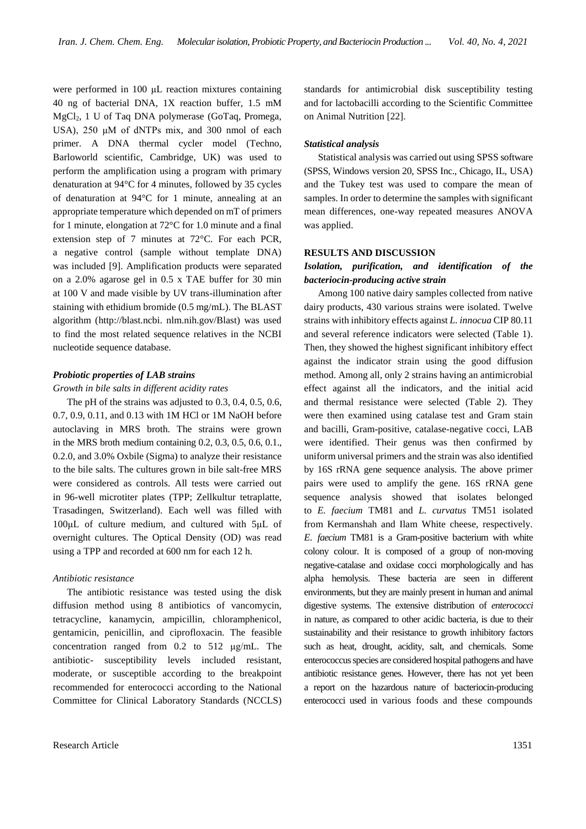were performed in 100 μL reaction mixtures containing 40 ng of bacterial DNA, 1X reaction buffer, 1.5 mM MgCl2, 1 U of Taq DNA polymerase (GoTaq, Promega, USA), 250 μM of dNTPs mix, and 300 nmol of each primer. A DNA thermal cycler model (Techno, Barloworld scientific, Cambridge, UK) was used to perform the amplification using a program with primary denaturation at 94°C for 4 minutes, followed by 35 cycles of denaturation at 94°C for 1 minute, annealing at an appropriate temperature which depended on mT of primers for 1 minute, elongation at 72°C for 1.0 minute and a final extension step of 7 minutes at 72°C. For each PCR, a negative control (sample without template DNA) was included [9]. Amplification products were separated on a 2.0% agarose gel in 0.5 x TAE buffer for 30 min at 100 V and made visible by UV trans-illumination after staining with ethidium bromide (0.5 mg/mL). The BLAST algorithm (http://blast.ncbi. nlm.nih.gov/Blast) was used to find the most related sequence relatives in the NCBI nucleotide sequence database.

#### *Probiotic properties of LAB strains*

#### *Growth in bile salts in different acidity rates*

The pH of the strains was adjusted to 0.3, 0.4, 0.5, 0.6, 0.7, 0.9, 0.11, and 0.13 with 1M HCl or 1M NaOH before autoclaving in MRS broth. The strains were grown in the MRS broth medium containing 0.2, 0.3, 0.5, 0.6, 0.1., 0.2.0, and 3.0% Oxbile (Sigma) to analyze their resistance to the bile salts. The cultures grown in bile salt-free MRS were considered as controls. All tests were carried out in 96-well microtiter plates (TPP; Zellkultur tetraplatte, Trasadingen, Switzerland). Each well was filled with 100μL of culture medium, and cultured with 5μL of overnight cultures. The Optical Density (OD) was read using a TPP and recorded at 600 nm for each 12 h.

## *Antibiotic resistance*

The antibiotic resistance was tested using the disk diffusion method using 8 antibiotics of vancomycin, tetracycline, kanamycin, ampicillin, chloramphenicol, gentamicin, penicillin, and ciprofloxacin. The feasible concentration ranged from 0.2 to 512 μg/mL. The antibiotic- susceptibility levels included resistant, moderate, or susceptible according to the breakpoint recommended for enterococci according to the National Committee for Clinical Laboratory Standards (NCCLS)

standards for antimicrobial disk susceptibility testing and for lactobacilli according to the Scientific Committee on Animal Nutrition [22].

#### *Statistical analysis*

Statistical analysis was carried out using SPSS software (SPSS, Windows version 20, SPSS Inc., Chicago, IL, USA) and the Tukey test was used to compare the mean of samples. In order to determine the samples with significant mean differences, one-way repeated measures ANOVA was applied.

## **RESULTS AND DISCUSSION**

# *Isolation, purification, and identification of the bacteriocin-producing active strain*

Among 100 native dairy samples collected from native dairy products, 430 various strains were isolated. Twelve strains with inhibitory effects against *L. innocua* CIP 80.11 and several reference indicators were selected (Table 1). Then, they showed the highest significant inhibitory effect against the indicator strain using the good diffusion method. Among all, only 2 strains having an antimicrobial effect against all the indicators, and the initial acid and thermal resistance were selected (Table 2). They were then examined using catalase test and Gram stain and bacilli, Gram-positive, catalase-negative cocci, LAB were identified. Their genus was then confirmed by uniform universal primers and the strain was also identified by 16S rRNA gene sequence analysis. The above primer pairs were used to amplify the gene. 16S rRNA gene sequence analysis showed that isolates belonged to *E. faecium* TM81 and *L. curvatus* TM51 isolated from Kermanshah and Ilam White cheese, respectively. *E. faecium* TM81 is a Gram-positive bacterium with white colony colour. It is composed of a group of non-moving negative-catalase and oxidase cocci morphologically and has alpha hemolysis. These bacteria are seen in different environments, but they are mainly present in human and animal digestive systems. The extensive distribution of *enterococci* in nature, as compared to other acidic bacteria, is due to their sustainability and their resistance to growth inhibitory factors such as heat, drought, acidity, salt, and chemicals. Some enterococcus species are considered hospital pathogens and have antibiotic resistance genes. However, there has not yet been a report on the hazardous nature of bacteriocin-producing enterococci used in various foods and these compounds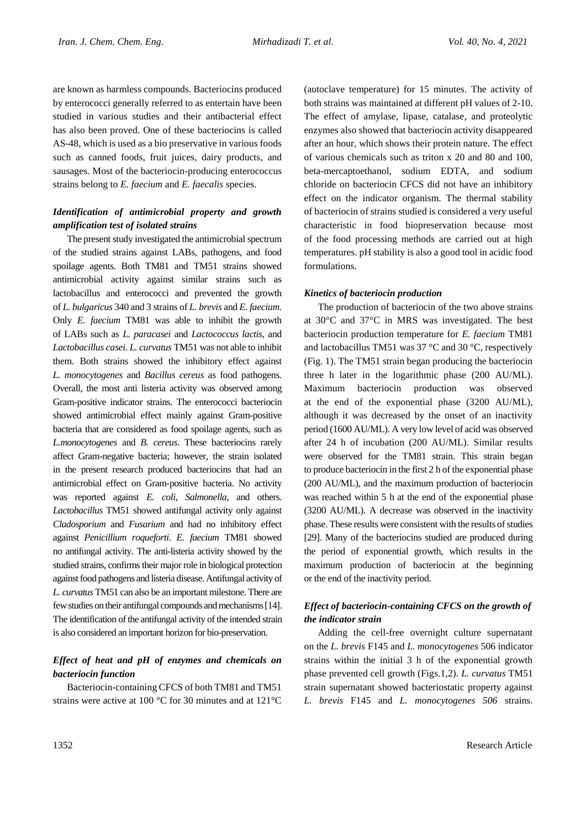are known as harmless compounds. Bacteriocins produced by enterococci generally referred to as entertain have been studied in various studies and their antibacterial effect has also been proved. One of these bacteriocins is called AS-48, which is used as a bio preservative in various foods such as canned foods, fruit juices, dairy products, and sausages. Most of the bacteriocin-producing enterococcus strains belong to *E. faecium* and *E. faecalis* species.

# *Identification of antimicrobial property and growth amplification test of isolated strains*

The present study investigated the antimicrobial spectrum of the studied strains against LABs, pathogens, and food spoilage agents. Both TM81 and TM51 strains showed antimicrobial activity against similar strains such as lactobacillus and enterococci and prevented the growth of *L. bulgaricus* 340 and 3 strains of *L. brevis* and *E. faecium*. Only *E. faecium* TM81 was able to inhibit the growth of LABs such as *L. paracasei* and *Lactococcus lactis*, and *Lactobacillus casei*. *L. curvatus* TM51 was not able to inhibit them. Both strains showed the inhibitory effect against *L. monocytogenes* and *Bacillus cereus* as food pathogens. Overall, the most anti listeria activity was observed among Gram-positive indicator strains. The enterococci bacteriocin showed antimicrobial effect mainly against Gram-positive bacteria that are considered as food spoilage agents, such as *L.monocytogenes* and *B. cereus*. These bacteriocins rarely affect Gram-negative bacteria; however, the strain isolated in the present research produced bacteriocins that had an antimicrobial effect on Gram-positive bacteria. No activity was reported against *E. coli*, *Salmonella*, and others. *Lactobacillus* TM51 showed antifungal activity only against *Cladosporium* and *Fusarium* and had no inhibitory effect against *Penicillium roqueforti*. *E. faecium* TM81 showed no antifungal activity. The anti-listeria activity showed by the studied strains, confirms their major role in biological protection against food pathogens and listeria disease. Antifungal activity of *L. curvatus* TM51 can also be an important milestone. There are few studies on their antifungal compounds and mechanisms [14]. The identification of the antifungal activity of the intended strain is also considered an important horizon for bio-preservation.

# *Effect of heat and pH of enzymes and chemicals on bacteriocin function*

Bacteriocin-containing CFCS of both TM81 and TM51 strains were active at 100 °C for 30 minutes and at 121°C

(autoclave temperature) for 15 minutes. The activity of both strains was maintained at different pH values of 2-10. The effect of amylase, lipase, catalase, and proteolytic enzymes also showed that bacteriocin activity disappeared after an hour, which shows their protein nature. The effect of various chemicals such as triton x 20 and 80 and 100, beta-mercaptoethanol, sodium EDTA, and sodium chloride on bacteriocin CFCS did not have an inhibitory effect on the indicator organism. The thermal stability of bacteriocin of strains studied is considered a very useful characteristic in food biopreservation because most of the food processing methods are carried out at high temperatures. pH stability is also a good tool in acidic food formulations.

## *Kinetics of bacteriocin production*

The production of bacteriocin of the two above strains at 30°C and 37°C in MRS was investigated. The best bacteriocin production temperature for *E. faecium* TM81 and lactobacillus TM51 was 37 °C and 30 °C, respectively (Fig. 1). The TM51 strain began producing the bacteriocin three h later in the logarithmic phase (200 AU/ML). Maximum bacteriocin production was observed at the end of the exponential phase (3200 AU/ML), although it was decreased by the onset of an inactivity period (1600 AU/ML). A very low level of acid was observed after 24 h of incubation (200 AU/ML). Similar results were observed for the TM81 strain. This strain began to produce bacteriocin in the first 2 h of the exponential phase (200 AU/ML), and the maximum production of bacteriocin was reached within 5 h at the end of the exponential phase (3200 AU/ML). A decrease was observed in the inactivity phase. These results were consistent with the results of studies [29]. Many of the bacteriocins studied are produced during the period of exponential growth, which results in the maximum production of bacteriocin at the beginning or the end of the inactivity period.

# *Effect of bacteriocin-containing CFCS on the growth of the indicator strain*

Adding the cell-free overnight culture supernatant on the *L. brevis* F145 and *L. monocytogenes* 506 indicator strains within the initial 3 h of the exponential growth phase prevented cell growth (Figs.1,2). *L. curvatus* TM51 strain supernatant showed bacteriostatic property against *L. brevis* F145 and *L. monocytogenes 506* strains.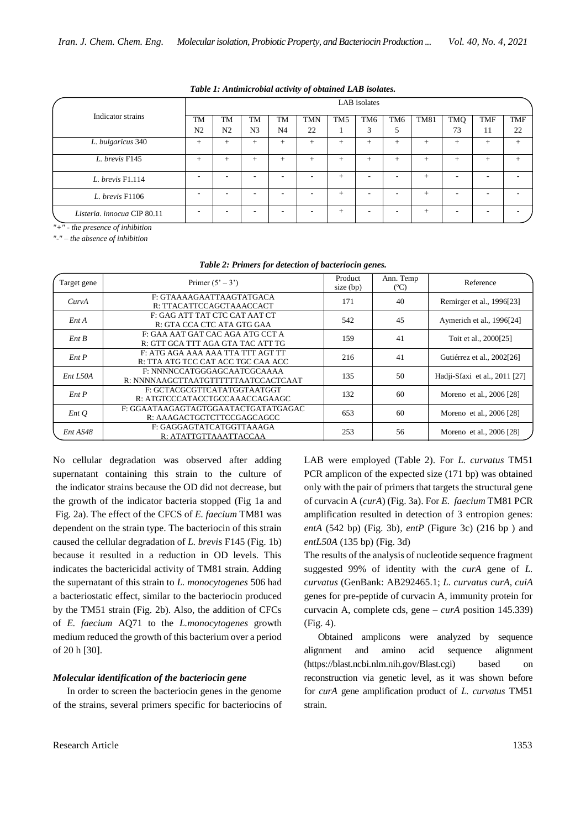|                                                                | LAB isolates                |                      |                      |                             |                          |                 |                      |                          |             |                  |                          |                  |
|----------------------------------------------------------------|-----------------------------|----------------------|----------------------|-----------------------------|--------------------------|-----------------|----------------------|--------------------------|-------------|------------------|--------------------------|------------------|
| Indicator strains                                              | <b>TM</b><br>N <sub>2</sub> | TM<br>N <sub>2</sub> | TM<br>N <sub>3</sub> | <b>TM</b><br>N <sub>4</sub> | <b>TMN</b><br>22         | TM <sub>5</sub> | TM <sub>6</sub><br>3 | TM <sub>6</sub><br>5     | <b>TM81</b> | <b>TMQ</b><br>73 | <b>TMF</b><br>11         | <b>TMF</b><br>22 |
| L. bulgaricus 340                                              | $^{+}$                      | $^{+}$               | $+$                  | $^{+}$                      | $+$                      | $\ddot{}$       | $+$                  | $^{+}$                   | $+$         | $^{+}$           | $+$                      | $+$              |
| L. brevis F145                                                 | $^{+}$                      | $^{+}$               | $^{+}$               | $^{+}$                      | $+$                      | $\ddot{}$       | $+$                  | $^{+}$                   | $+$         | $^{+}$           | $^{+}$                   | $+$              |
| L. brevis F1.114                                               |                             |                      |                      |                             | $\overline{\phantom{a}}$ | $^{+}$          | -                    | $\overline{\phantom{a}}$ | $+$         | -                | $\overline{\phantom{a}}$ |                  |
| L. brevis F1106                                                |                             |                      | -                    |                             | ۰                        | $+$             | -                    | -                        | $+$         |                  | $\overline{\phantom{a}}$ |                  |
| Listeria. innocua CIP 80.11<br>$\cdots$ $\cdots$ $\cdots$<br>. |                             |                      | -                    |                             | ۰                        | $+$             | -                    | $\overline{\phantom{a}}$ | $+$         |                  | $\overline{\phantom{a}}$ |                  |

*Table 1: Antimicrobial activity of obtained LAB isolates.*

*"+" - the presence of inhibition* 

*"-" – the absence of inhibition* 

| Target gene | Primer $(5' - 3')$                                                      | Product<br>size (bp) | Ann. Temp<br>$(C^{\circ}C)$ | Reference                     |  |
|-------------|-------------------------------------------------------------------------|----------------------|-----------------------------|-------------------------------|--|
| CurvA       | F: GTAAAAGAATTAAGTATGACA<br>R: TTACATTCCAGCTAAACCACT                    | 171                  | 40                          | Remirger et al., 1996[23]     |  |
| $Ent\,A$    | F: GAG ATT TAT CTC CAT AAT CT<br>R: GTA CCA CTC ATA GTG GAA             | 542                  | 45                          | Aymerich et al., 1996[24]     |  |
| Ent B       | F: GAA AAT GAT CAC AGA ATG CCT A<br>R: GTT GCA TTT AGA GTA TAC ATT TG   | 159                  | 41                          | Toit et al., 2000[25]         |  |
| Ent P       | F: ATG AGA AAA AAA TTA TTT AGT TT<br>R: TTA ATG TCC CAT ACC TGC CAA ACC | 216                  | 41                          | Gutiérrez et al., 2002[26]    |  |
| Ent L50A    | F: NNNNCCATGGGAGCAATCGCAAAA<br>R: NNNNAAGCTTAATGTTTTTTAATCCACTCAAT      | 135                  | 50                          | Hadji-Sfaxi et al., 2011 [27] |  |
| Ent P       | F: GCTACGCGTTCATATGGTAATGGT<br>R: ATGTCCCATACCTGCCAAACCAGAAGC           | 132                  | 60                          | Moreno et al., 2006 [28]      |  |
| EntQ        | F: GGAATAAGAGTAGTGGAATACTGATATGAGAC<br>R: AAAGACTGCTCTTCCGAGCAGCC       | 653                  | 60                          | Moreno et al., 2006 [28]      |  |
| Ent AS48    | F: GAGGAGTATCATGGTTAAAGA<br>R: ATATTGTTAAATTACCAA                       | 253                  | 56                          | Moreno et al., 2006 [28]      |  |

#### *Table 2: Primers for detection of bacteriocin genes.*

No cellular degradation was observed after adding supernatant containing this strain to the culture of the indicator strains because the OD did not decrease, but the growth of the indicator bacteria stopped (Fig 1a and Fig. 2a). The effect of the CFCS of *E. faecium* TM81 was dependent on the strain type. The bacteriocin of this strain caused the cellular degradation of *L. brevis* F145 (Fig. 1b) because it resulted in a reduction in OD levels. This indicates the bactericidal activity of TM81 strain. Adding the supernatant of this strain to *L. monocytogenes* 506 had a bacteriostatic effect, similar to the bacteriocin produced by the TM51 strain (Fig. 2b). Also, the addition of CFCs of *E. faecium* AQ71 to the *L.monocytogenes* growth medium reduced the growth of this bacterium over a period of 20 h [30].

#### *Molecular identification of the bacteriocin gene*

In order to screen the bacteriocin genes in the genome of the strains, several primers specific for bacteriocins of LAB were employed (Table 2). For *L. curvatus* TM51 PCR amplicon of the expected size (171 bp) was obtained only with the pair of primers that targets the structural gene of curvacin A (*curA*) (Fig. 3a). For *E. faecium* TM81 PCR amplification resulted in detection of 3 entropion genes: *entA* (542 bp) (Fig. 3b)*, entP* (Figure 3c) (216 bp ) and *entL50A* (135 bp) (Fig. 3d)

The results of the analysis of nucleotide sequence fragment suggested 99% of identity with the *curA* gene of *L. curvatus* (GenBank: AB292465.1; *L. curvatus curA, cuiA* genes for pre-peptide of curvacin A, immunity protein for curvacin A, complete cds, gene – *curA* position 145.339) (Fig. 4).

Obtained amplicons were analyzed by sequence alignment and amino acid sequence alignment [\(https://blast.ncbi.nlm.nih.gov/Blast.cgi\)](https://blast.ncbi.nlm.nih.gov/Blast.cgi) based on reconstruction via genetic level, as it was shown before for *curA* gene amplification product of *L. curvatus* TM51 strain.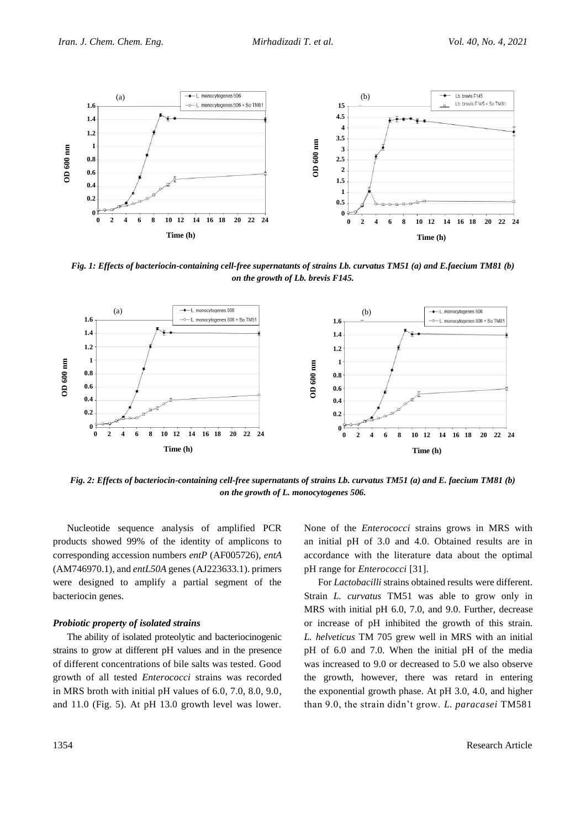

*Fig. 1: Effects of bacteriocin-containing cell-free supernatants of strains Lb. curvatus TM51 (a) and E.faecium TM81 (b) on the growth of Lb. brevis F145.*



*Fig. 2: Effects of bacteriocin-containing cell-free supernatants of strains Lb. curvatus TM51 (a) and E. faecium TM81 (b) on the growth of L. monocytogenes 506.*

Nucleotide sequence analysis of amplified PCR products showed 99% of the identity of amplicons to corresponding accession numbers *entP* (AF005726), *entA* (AM746970.1), and *entL50A* genes [\(AJ223633.1\)](http://www.ncbi.nlm.nih.gov/nucleotide/3087776?report=genbank&log$=nucltop&blast_rank=2&RID=9VZXTSKC015). primers were designed to amplify a partial segment of the bacteriocin genes.

#### *Probiotic property of isolated strains*

The ability of isolated proteolytic and bacteriocinogenic strains to grow at different pH values and in the presence of different concentrations of bile salts was tested. Good growth of all tested *Enterococci* strains was recorded in MRS broth with initial pH values of 6.0, 7.0, 8.0, 9.0, and 11.0 (Fig. 5). At pH 13.0 growth level was lower.

None of the *Enterococci* strains grows in MRS with an initial pH of 3.0 and 4.0. Obtained results are in accordance with the literature data about the optimal pH range for *Enterococci* [31].

For *Lactobacilli* strains obtained results were different. Strain *L. curvatus* TM51 was able to grow only in MRS with initial pH 6.0, 7.0, and 9.0. Further, decrease or increase of pH inhibited the growth of this strain. *L. helveticus* TM 705 grew well in MRS with an initial pH of 6.0 and 7.0. When the initial pH of the media was increased to 9.0 or decreased to 5.0 we also observe the growth, however, there was retard in entering the exponential growth phase. At pH 3.0, 4.0, and higher than 9.0, the strain didn't grow. *L. paracasei* TM581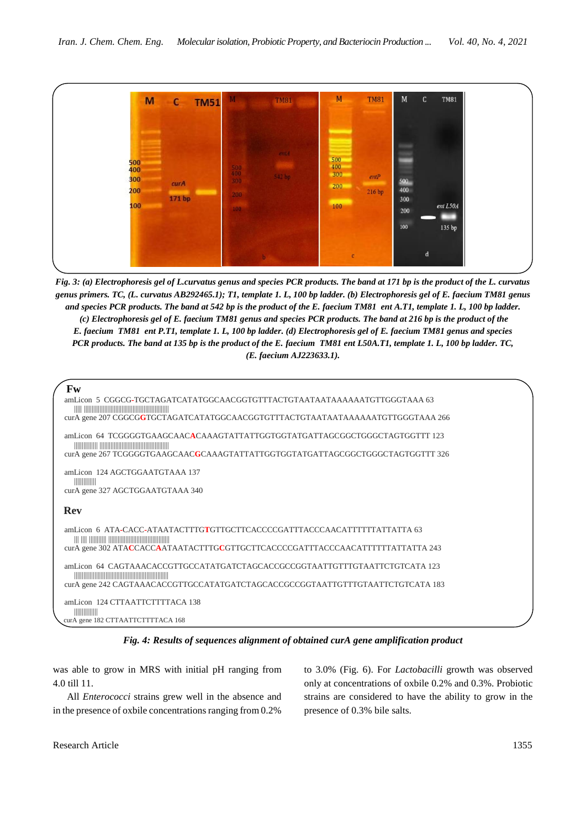

*Fig. 3: (a) Electrophoresis gel of L.curvatus genus and species PCR products. The band at 171 bp is the product of the L. curvatus genus primers. TC, (L. curvatus AB292465.1); T1, template 1. L, 100 bp ladder. (b) Electrophoresis gel of E. faecium TM81 genus and species PCR products. The band at 542 bp is the product of the E. faecium TM81 ent A.T1, template 1. L, 100 bp ladder. (c) Electrophoresis gel of E. faecium TM81 genus and species PCR products. The band at 216 bp is the product of the E. faecium TM81 ent P.T1, template 1. L, 100 bp ladder. (d) Electrophoresis gel of E. faecium TM81 genus and species PCR products. The band at 135 bp is the product of the E. faecium TM81 ent L50A.T1, template 1. L, 100 bp ladder. TC, (E. faecium [AJ223633.1\)](http://www.ncbi.nlm.nih.gov/nucleotide/3087776?report=genbank&log$=nucltop&blast_rank=2&RID=9VZXTSKC015).*

```
 Fw
 amLicon 5 CGGCG-TGCTAGATCATATGGCAACGGTGTTTACTGTAATAATAAAAAATGTTGGGTAAA 63
   ||||| ||||||||||||||||||||||||||||||||||||||||||||||||||||||
 curA gene 207 CGGCGGTGCTAGATCATATGGCAACGGTGTTTACTGTAATAATAAAAAATGTTGGGTAAA 266
 amLicon 64 TCGGGGTGAAGCAACACAAAGTATTATTGGTGGTATGATTAGCGGCTGGGCTAGTGGTTT 123
   ||||||||||||||| ||||||||||||||||||||||||||||||||||||||||||||
 curA gene 267 TCGGGGTGAAGCAACGCAAAGTATTATTGGTGGTATGATTAGCGGCTGGGCTAGTGGTTT 326
 amLicon 124 AGCTGGAATGTAAA 137
   ||||||||||||||
 curA gene 327 AGCTGGAATGTAAA 340
 Rev
 amLicon 6 ATA-CACC-ATAATACTTTGTGTTGCTTCACCCCGATTTACCCAACATTTTTTATTATTA 63
   ||| |||| ||||||||||| |||||||||||||||||||||||||||||||||||||||
 curA gene 302 ATACCACCAATAATACTTTGCGTTGCTTCACCCCGATTTACCCAACATTTTTTATTATTA 243
 amLicon 64 CAGTAAACACCGTTGCCATATGATCTAGCACCGCCGGTAATTGTTTGTAATTCTGTCATA 123
   ||||||||||||||||||||||||||||||||||||||||||||||||||||||||||||
 curA gene 242 CAGTAAACACCGTTGCCATATGATCTAGCACCGCCGGTAATTGTTTGTAATTCTGTCATA 183
 amLicon 124 CTTAATTCTTTTACA 138
   |||||||||||||||
curA gene 182 CTTAATTCTTTTACA 168
```
*Fig. 4: Results of sequences alignment of obtained curA gene amplification product*

was able to grow in MRS with initial pH ranging from 4.0 till 11.

All *Enterococci* strains grew well in the absence and in the presence of oxbile concentrations ranging from 0.2%

to 3.0% (Fig. 6). For *Lactobacilli* growth was observed only at concentrations of oxbile 0.2% and 0.3%. Probiotic strains are considered to have the ability to grow in the presence of 0.3% bile salts.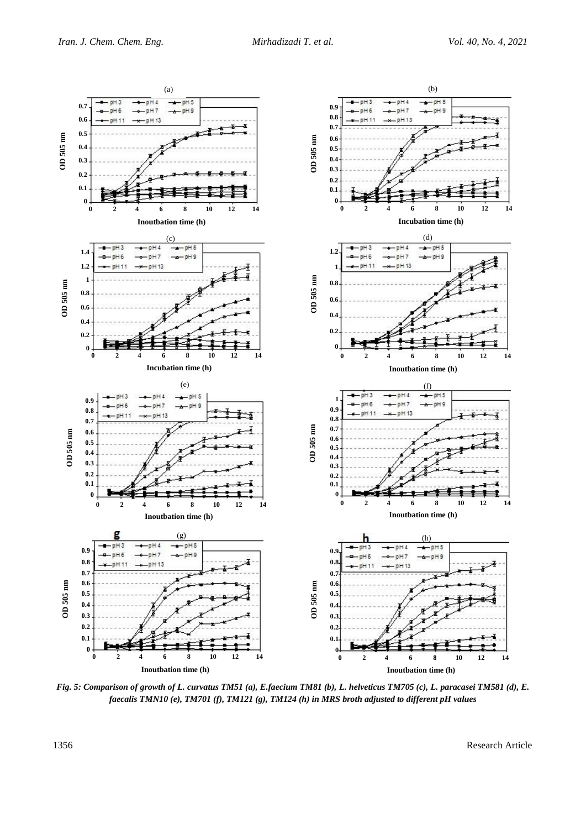

*Fig. 5: Comparison of growth of L. curvatus TM51 (a), E.faecium TM81 (b), L. helveticus TM705 (c), L. paracasei TM581 (d), E. faecalis TMN10 (e), TM701 (f), TM121 (g), TM124 (h) in MRS broth adjusted to different pH values*

1356 Research Article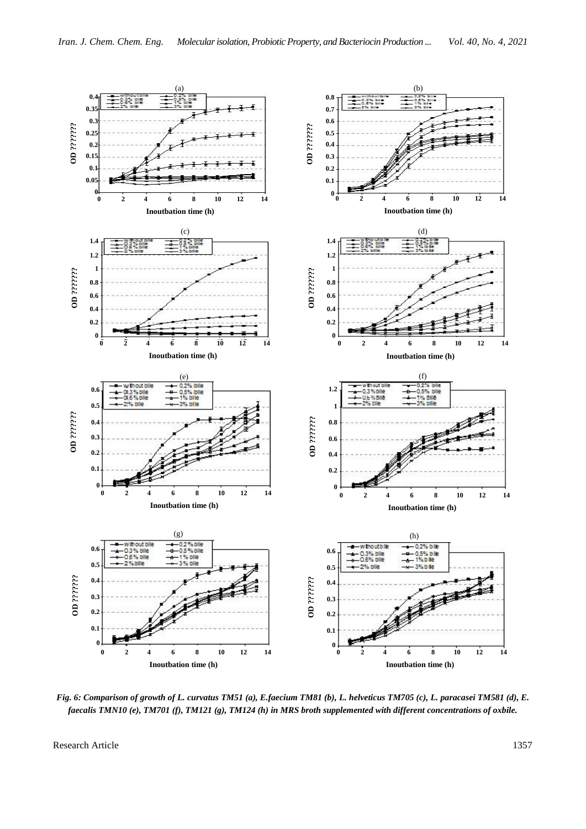

*Fig. 6: Comparison of growth of L. curvatus TM51 (a), E.faecium TM81 (b), L. helveticus TM705 (c), L. paracasei TM581 (d), E. faecalis TMN10 (e), TM701 (f), TM121 (g), TM124 (h) in MRS broth supplemented with different concentrations of oxbile.*

Research Article 1357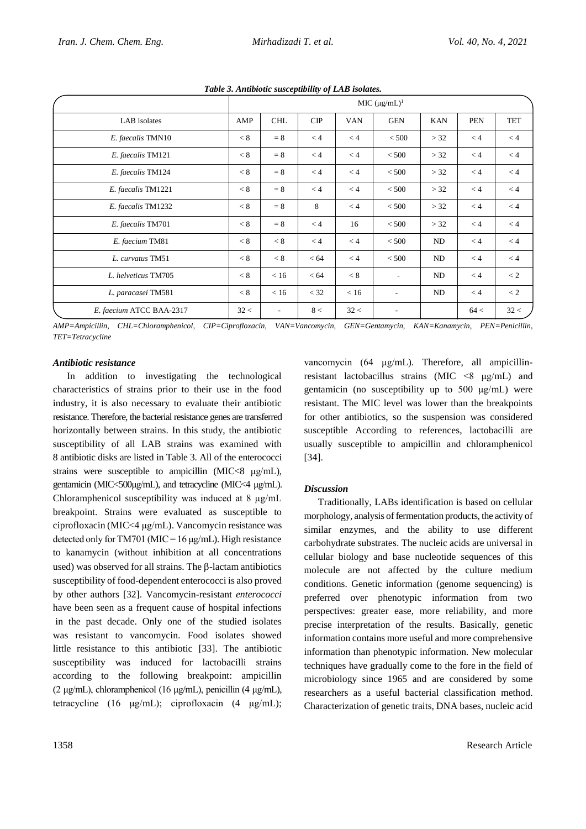|                          | MIC $(\mu g/mL)^1$ |            |                |            |                          |            |            |            |  |
|--------------------------|--------------------|------------|----------------|------------|--------------------------|------------|------------|------------|--|
| LAB isolates             | AMP                | <b>CHL</b> | $\mathbf{CIP}$ | <b>VAN</b> | <b>GEN</b>               | <b>KAN</b> | <b>PEN</b> | <b>TET</b> |  |
| E. faecalis TMN10        | < 8                | $= 8$      | < 4            | < 4        | < 500                    | > 32       | < 4        | < 4        |  |
| E. faecalis TM121        | < 8                | $= 8$      | < 4            | < 4        | < 500                    | > 32       | < 4        | < 4        |  |
| E. faecalis TM124        | < 8                | $= 8$      | < 4            | < 4        | < 500                    | > 32       | < 4        | < 4        |  |
| E. faecalis TM1221       | < 8                | $= 8$      | < 4            | < 4        | < 500                    | > 32       | < 4        | < 4        |  |
| E. faecalis TM1232       | < 8                | $= 8$      | 8              | < 4        | < 500                    | > 32       | < 4        | < 4        |  |
| E. faecalis TM701        | < 8                | $= 8$      | < 4            | 16         | < 500                    | > 32       | < 4        | < 4        |  |
| E. faecium TM81          | < 8                | < 8        | < 4            | < 4        | < 500                    | ND         | < 4        | < 4        |  |
| L. curvatus TM51         | < 8                | < 8        | < 64           | < 4        | < 500                    | ND         | < 4        | < 4        |  |
| L. helveticus TM705      | < 8                | < 16       | < 64           | < 8        | $\sim$                   | ND         | < 4        | < 2        |  |
| L. paracasei TM581       | < 8                | < 16       | $<$ 32         | < 16       | ٠                        | ND         | $\lt 4$    | < 2        |  |
| E. faecium ATCC BAA-2317 | 32 <               | $\sim$     | 8<             | 32 <       | $\overline{\phantom{a}}$ |            | 64<        | 32 <       |  |

*Table 3. Antibiotic susceptibility of LAB isolates.*

*AMP=Ampicillin, CHL=Chloramphenicol, CIP=Ciprofloxacin, VAN=Vancomycin, GEN=Gentamycin, KAN=Kanamycin, PEN=Penicillin, TET=Tetracycline*

#### *Antibiotic resistance*

In addition to investigating the technological characteristics of strains prior to their use in the food industry, it is also necessary to evaluate their antibiotic resistance. Therefore, the bacterial resistance genes are transferred horizontally between strains. In this study, the antibiotic susceptibility of all LAB strains was examined with 8 antibiotic disks are listed in Table 3. All of the enterococci strains were susceptible to ampicillin  $(MIC < 8 \mu g/mL)$ , gentamicin (MIC<500μg/mL), and tetracycline (MIC<4 μg/mL). Chloramphenicol susceptibility was induced at 8 μg/mL breakpoint. Strains were evaluated as susceptible to ciprofloxacin (MIC<4 μg/mL). Vancomycin resistance was detected only for TM701 (MIC =  $16 \mu g/mL$ ). High resistance to kanamycin (without inhibition at all concentrations used) was observed for all strains. The  $\beta$ -lactam antibiotics susceptibility of food-dependent enterococci is also proved by other authors [32]. Vancomycin-resistant *enterococci* have been seen as a frequent cause of hospital infections in the past decade. Only one of the studied isolates was resistant to vancomycin. Food isolates showed little resistance to this antibiotic [33]. The antibiotic susceptibility was induced for lactobacilli strains according to the following breakpoint: ampicillin (2 μg/mL), chloramphenicol (16 μg/mL), penicillin (4 μg/mL), tetracycline (16 μg/mL); ciprofloxacin (4 μg/mL);

vancomycin (64 μg/mL). Therefore, all ampicillinresistant lactobacillus strains (MIC <8 μg/mL) and gentamicin (no susceptibility up to 500 μg/mL) were resistant. The MIC level was lower than the breakpoints for other antibiotics, so the suspension was considered susceptible According to references, lactobacilli are usually susceptible to ampicillin and chloramphenicol [34].

## *Discussion*

Traditionally, LABs identification is based on cellular morphology, analysis of fermentation products, the activity of similar enzymes, and the ability to use different carbohydrate substrates. The nucleic acids are universal in cellular biology and base nucleotide sequences of this molecule are not affected by the culture medium conditions. Genetic information (genome sequencing) is preferred over phenotypic information from two perspectives: greater ease, more reliability, and more precise interpretation of the results. Basically, genetic information contains more useful and more comprehensive information than phenotypic information. New molecular techniques have gradually come to the fore in the field of microbiology since 1965 and are considered by some researchers as a useful bacterial classification method. Characterization of genetic traits, DNA bases, nucleic acid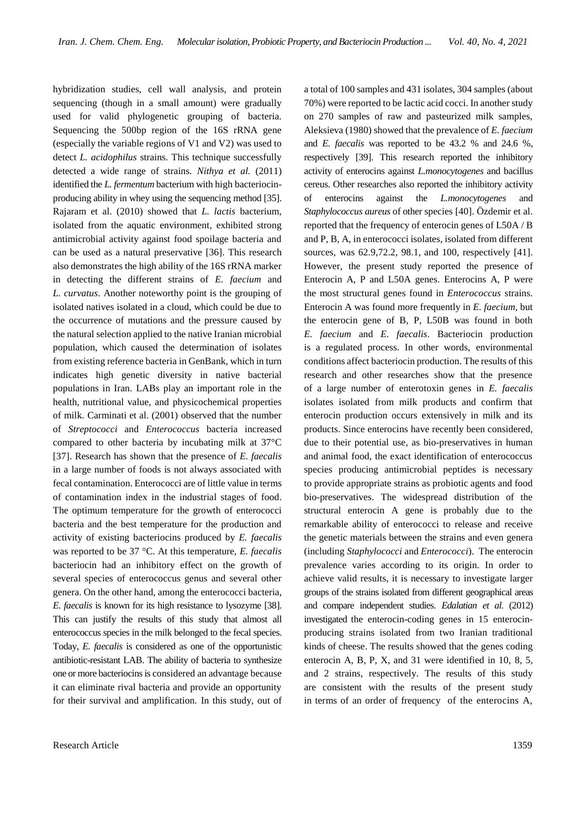hybridization studies, cell wall analysis, and protein sequencing (though in a small amount) were gradually used for valid phylogenetic grouping of bacteria. Sequencing the 500bp region of the 16S rRNA gene (especially the variable regions of V1 and V2) was used to detect *L. acidophilus* strains. This technique successfully detected a wide range of strains. *Nithya et al.* (2011) identified the *L. fermentum* bacterium with high bacteriocinproducing ability in whey using the sequencing method [35]. Rajaram et al. (2010) showed that *L. lactis* bacterium, isolated from the aquatic environment, exhibited strong antimicrobial activity against food spoilage bacteria and can be used as a natural preservative [36]. This research also demonstrates the high ability of the 16S rRNA marker in detecting the different strains of *E. faecium* and *L. curvatus*. Another noteworthy point is the grouping of isolated natives isolated in a cloud, which could be due to the occurrence of mutations and the pressure caused by the natural selection applied to the native Iranian microbial population, which caused the determination of isolates from existing reference bacteria in GenBank, which in turn indicates high genetic diversity in native bacterial populations in Iran. LABs play an important role in the health, nutritional value, and physicochemical properties of milk. Carminati et al. (2001) observed that the number of *Streptococci* and *Enterococcus* bacteria increased compared to other bacteria by incubating milk at 37°C [37]. Research has shown that the presence of *E. faecalis* in a large number of foods is not always associated with fecal contamination. Enterococci are of little value in terms of contamination index in the industrial stages of food. The optimum temperature for the growth of enterococci bacteria and the best temperature for the production and activity of existing bacteriocins produced by *E. faecalis*  was reported to be 37 °C. At this temperature, *E. faecalis*  bacteriocin had an inhibitory effect on the growth of several species of enterococcus genus and several other genera. On the other hand, among the enterococci bacteria, *E. faecalis* is known for its high resistance to lysozyme [38]. This can justify the results of this study that almost all enterococcus species in the milk belonged to the fecal species. Today, *E. faecalis* is considered as one of the opportunistic antibiotic-resistant LAB. The ability of bacteria to synthesize one or more bacteriocinsis considered an advantage because it can eliminate rival bacteria and provide an opportunity for their survival and amplification. In this study, out of a total of 100 samples and 431 isolates, 304 samples (about 70%) were reported to be lactic acid cocci. In another study on 270 samples of raw and pasteurized milk samples, Aleksieva (1980) showed that the prevalence of *E. faecium* and *E. faecalis* was reported to be 43.2 % and 24.6 %, respectively [39]. This research reported the inhibitory activity of enterocins against *L.monocytogenes* and bacillus cereus. Other researches also reported the inhibitory activity of enterocins against the *L.monocytogenes* and *Staphylococcus aureus* of other species [40]. Özdemir et al. reported that the frequency of enterocin genes of L50A / B and P, B, A, in enterococci isolates, isolated from different sources, was 62.9,72.2, 98.1, and 100, respectively [41]. However, the present study reported the presence of Enterocin A, P and L50A genes. Enterocins A, P were the most structural genes found in *Enterococcus* strains. Enterocin A was found more frequently in *E. faecium*, but the enterocin gene of B, P, L50B was found in both *E. faecium* and *E. faecalis*. Bacteriocin production is a regulated process. In other words, environmental conditions affect bacteriocin production. The results of this research and other researches show that the presence of a large number of enterotoxin genes in *E. faecalis*  isolates isolated from milk products and confirm that enterocin production occurs extensively in milk and its products. Since enterocins have recently been considered, due to their potential use, as bio-preservatives in human and animal food, the exact identification of enterococcus species producing antimicrobial peptides is necessary to provide appropriate strains as probiotic agents and food bio-preservatives. The widespread distribution of the structural enterocin A gene is probably due to the remarkable ability of enterococci to release and receive the genetic materials between the strains and even genera (including *Staphylococci* and *Enterococci*). The enterocin prevalence varies according to its origin. In order to achieve valid results, it is necessary to investigate larger groups of the strains isolated from different geographical areas and compare independent studies. *Edalatian et al*. (2012) investigated the enterocin-coding genes in 15 enterocinproducing strains isolated from two Iranian traditional kinds of cheese. The results showed that the genes coding enterocin A, B, P, X, and 31 were identified in 10, 8, 5, and 2 strains, respectively. The results of this study are consistent with the results of the present study in terms of an order of frequency of the enterocins A,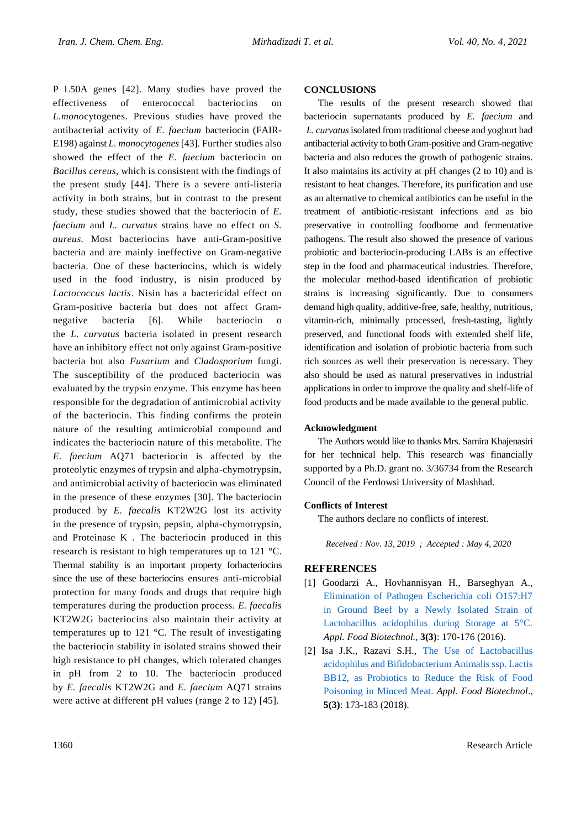P L50A genes [42]. Many studies have proved the effectiveness of enterococcal bacteriocins on *L.mono*cytogenes. Previous studies have proved the antibacterial activity of *E. faecium* bacteriocin (FAIR-E198) against *L. monocytogenes* [43]. Further studies also showed the effect of the *E. faecium* bacteriocin on *Bacillus cereus*, which is consistent with the findings of the present study [44]. There is a severe anti-listeria activity in both strains, but in contrast to the present study, these studies showed that the bacteriocin of *E. faecium* and *L. curvatus* strains have no effect on *S. aureus*. Most bacteriocins have anti-Gram-positive bacteria and are mainly ineffective on Gram-negative bacteria. One of these bacteriocins, which is widely used in the food industry, is nisin produced by *Lactococcus lactis*. Nisin has a bactericidal effect on Gram-positive bacteria but does not affect Gramnegative bacteria [6]. While bacteriocin the *L. curvatus* bacteria isolated in present research have an inhibitory effect not only against Gram-positive bacteria but also *Fusarium* and *Cladosporium* fungi. The susceptibility of the produced bacteriocin was evaluated by the trypsin enzyme. This enzyme has been responsible for the degradation of antimicrobial activity of the bacteriocin. This finding confirms the protein nature of the resulting antimicrobial compound and indicates the bacteriocin nature of this metabolite. The *E. faecium* AQ71 bacteriocin is affected by the proteolytic enzymes of trypsin and alpha-chymotrypsin, and antimicrobial activity of bacteriocin was eliminated in the presence of these enzymes [30]. The bacteriocin produced by *E. faecalis* KT2W2G lost its activity in the presence of trypsin, pepsin, alpha-chymotrypsin, and Proteinase K . The bacteriocin produced in this research is resistant to high temperatures up to 121 °C. Thermal stability is an important property forbacteriocins since the use of these bacteriocins ensures anti-microbial protection for many foods and drugs that require high temperatures during the production process. *E. faecalis*  KT2W2G bacteriocins also maintain their activity at temperatures up to 121 °C. The result of investigating the bacteriocin stability in isolated strains showed their high resistance to pH changes, which tolerated changes in pH from 2 to 10. The bacteriocin produced by *E. faecalis* KT2W2G and *E. faecium* AQ71 strains were active at different pH values (range 2 to 12) [45].

## **CONCLUSIONS**

The results of the present research showed that bacteriocin supernatants produced by *E. faecium* and *L. curvatus*isolated from traditional cheese and yoghurt had antibacterial activity to both Gram-positive and Gram-negative bacteria and also reduces the growth of pathogenic strains. It also maintains its activity at pH changes (2 to 10) and is resistant to heat changes. Therefore, its purification and use as an alternative to chemical antibiotics can be useful in the treatment of antibiotic-resistant infections and as bio preservative in controlling foodborne and fermentative pathogens. The result also showed the presence of various probiotic and bacteriocin-producing LABs is an effective step in the food and pharmaceutical industries. Therefore, the molecular method-based identification of probiotic strains is increasing significantly. Due to consumers demand high quality, additive-free, safe, healthy, nutritious, vitamin-rich, minimally processed, fresh-tasting, lightly preserved, and functional foods with extended shelf life, identification and isolation of probiotic bacteria from such rich sources as well their preservation is necessary. They also should be used as natural preservatives in industrial applications in order to improve the quality and shelf-life of food products and be made available to the general public.

## **Acknowledgment**

The Authors would like to thanks Mrs. Samira Khajenasiri for her technical help. This research was financially supported by a Ph.D. grant no. 3/36734 from the Research Council of the Ferdowsi University of Mashhad.

#### **Conflicts of Interest**

The authors declare no conflicts of interest*.*

*Received : Nov. 13, 2019 ; Accepted : May 4, 2020*

## **REFERENCES**

- [1] Goodarzi A., Hovhannisyan H., Barseghyan A., [Elimination of Pathogen Escherichia coli O157:H7](http://journals.sbmu.ac.ir/afb/article/view/11799)  [in Ground Beef by a Newly Isolated Strain of](http://journals.sbmu.ac.ir/afb/article/view/11799)  [Lactobacillus acidophilus during Storage at 5°C.](http://journals.sbmu.ac.ir/afb/article/view/11799) *Appl. Food Biotechnol.,* **3(3)**: 170-176 (2016).
- [2] Isa J.K., Razavi S.H., [The Use of Lactobacillus](http://journals.sbmu.ac.ir/afb/article/view/21127)  [acidophilus and Bifidobacterium Animalis ssp. Lactis](http://journals.sbmu.ac.ir/afb/article/view/21127)  [BB12, as Probiotics to Reduce the Risk of Food](http://journals.sbmu.ac.ir/afb/article/view/21127)  Poisoning [in Minced Meat](http://journals.sbmu.ac.ir/afb/article/view/21127)[.](file:///J:/Maghalte-Dardast%20Anjam/Dr%20Mirhadizadeh/Dr%20mirhadizadeh%202%20IJCCE/Dr%20mirzaei/Manuscript%20Final%20revision%2005.docx%23the) *Appl. Food Biotechnol*., **5(3)**: 173-183 (2018).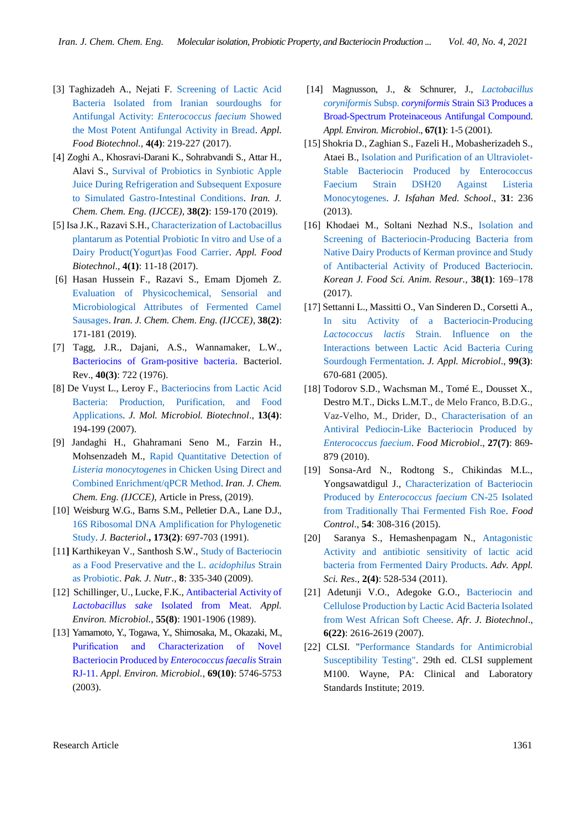- [3] Taghizadeh A., Nejati F. [Screening of Lactic Acid](http://journals.sbmu.ac.ir/afb/article/view/16560)  [Bacteria Isolated from Iranian sourdoughs for](http://journals.sbmu.ac.ir/afb/article/view/16560)  [Antifungal Activity:](http://journals.sbmu.ac.ir/afb/article/view/16560) *Enterococcus faecium* Showed the Most [Potent Antifungal Activity in Bread.](http://journals.sbmu.ac.ir/afb/article/view/16560) *Appl. Food Biotechnol.,* **4(4)**: 219-227 (2017).
- [4] Zoghi A., Khosravi-Darani K., Sohrabvandi S., Attar H., Alavi S., [Survival of Probiotics in Synbiotic Apple](http://www.ijcce.ac.ir/article_30783.html)  [Juice During Refrigeration and Subsequent Exposure](http://www.ijcce.ac.ir/article_30783.html)  [to Simulated Gastro-Intestinal Conditions.](http://www.ijcce.ac.ir/article_30783.html) *Iran. J. Chem. Chem. Eng. (IJCCE)*, **38(2)**: 159-170 (2019).
- [5] Isa J.K., Razavi S.H., [Characterization of Lactobacillus](http://journals.sbmu.ac.ir/afb/article/view/13738)  [plantarum as Potential Probiotic In vitro and Use of a](http://journals.sbmu.ac.ir/afb/article/view/13738)  [Dairy Product\(Yogurt\)as Food Carrier.](http://journals.sbmu.ac.ir/afb/article/view/13738) *Appl. Food Biotechnol*., **4(1)**: 11-18 (2017).
- [6] Hasan Hussein F., Razavi S., Emam Djomeh Z. [Evaluation of Physicochemical, Sensorial and](http://www.ijcce.ac.ir/article_30665.html)  [Microbiological Attributes of Fermented Camel](http://www.ijcce.ac.ir/article_30665.html)  [Sausages.](http://www.ijcce.ac.ir/article_30665.html) *Iran. J. Chem. Chem. Eng. (IJCCE)*, **38(2)**: 171-181 (2019).
- [7] Tagg, J.R., Dajani, A.S., Wannamaker, L.W., [Bacteriocins of Gram-positive bacteria.](https://www.ncbi.nlm.nih.gov/pmc/articles/PMC413978/) Bacteriol. Rev., **40(3)**: 722 (1976).
- [8] De Vuyst L., Leroy F., [Bacteriocins from Lactic Acid](https://www.karger.com/Article/Abstract/104752)  [Bacteria: Production, Purification, and Food](https://www.karger.com/Article/Abstract/104752)  [Applications.](https://www.karger.com/Article/Abstract/104752) *J. Mol. Microbiol. Biotechnol*., **13(4)**: 194-199 (2007).
- [9] Jandaghi H., Ghahramani Seno M., Farzin H., Mohsenzadeh M., [Rapid Quantitative Detection of](http://www.ijcce.ac.ir/article_35110.html)  *Listeria monocytogenes* [in Chicken Using Direct and](http://www.ijcce.ac.ir/article_35110.html)  [Combined Enrichment/qPCR Method.](http://www.ijcce.ac.ir/article_35110.html) *Iran. J. Chem. Chem. Eng. (IJCCE)*, Article in Press, (2019).
- [10] Weisburg W.G., Barns S.M., Pelletier D.A., Lane D.J., [16S Ribosomal DNA Amplification for Phylogenetic](https://jb.asm.org/content/173/2/697.short)  [Study.](https://jb.asm.org/content/173/2/697.short) *J. Bacteriol*.**, 173(2)**: 697-703 (1991).
- [11**]** Karthikeyan V., Santhosh S.W.[, Study of Bacteriocin](https://scialert.net/fulltextmobile/?doi=pjn.2009.335.340)  [as a Food Preservative and the L.](https://scialert.net/fulltextmobile/?doi=pjn.2009.335.340) *acidophilus* Strain [as Probiotic.](https://scialert.net/fulltextmobile/?doi=pjn.2009.335.340) *Pak. J. Nutr.*, **8**: 335-340 (2009).
- [12] Schillinger, U., Lucke, F.K., Antibacterial Activity of *Lactobacillus sake* [Isolated from Meat.](https://aem.asm.org/content/55/8/1901.short) *Appl. Environ. Microbiol.*, **55(8)**: 1901-1906 (1989).
- [13] Yamamoto, Y., Togawa, Y., Shimosaka, M., Okazaki, M., [Purification and Characterization of Novel](https://aem.asm.org/content/69/10/5746.short)  [Bacteriocin Produced by](https://aem.asm.org/content/69/10/5746.short) *Enterococcus faecalis* Strain [RJ-11.](https://aem.asm.org/content/69/10/5746.short) *Appl. Environ. Microbiol.*, **69(10)**: 5746-5753 (2003).
- [14] Magnusson, J., & Schnurer, J., *[Lactobacillus](https://aem.asm.org/content/67/1/1.short)  [coryniformis](https://aem.asm.org/content/67/1/1.short)* Subsp. *coryniformis* [Strain Si3 Produces a](https://aem.asm.org/content/67/1/1.short)  [Broad-Spectrum Proteinaceous Antifungal Compound.](https://aem.asm.org/content/67/1/1.short) *Appl. Environ. Microbiol*., **67(1)**: 1-5 (2001).
- [15] Shokria D., Zaghian S., Fazeli H., Mobasherizadeh S., Ataei B., [Isolation and Purification of an Ultraviolet-](https://web.b.ebscohost.com/abstract?direct=true&profile=ehost&scope=site&authtype=crawler&jrnl=10277595&AN=90068590&h=l4ihcf%2bbwDMSTJ52swmvjDjE4hp9CduI%2b5o%2f%2fwtNhsbDIx0Ba8Q8UcPiGqyXewhZ5%2fcDryH16OFH28WfjhmKVA%3d%3d&crl=c&resultNs=AdminWebAuth&resultLocal=ErrCrlNotAuth&crlhashurl=login.aspx%3fdirect%3dtrue%26profile%3dehost%26scope%3dsite%26authtype%3dcrawler%26jrnl%3d10277595%26AN%3d90068590)[Stable Bacteriocin Produced by Enterococcus](https://web.b.ebscohost.com/abstract?direct=true&profile=ehost&scope=site&authtype=crawler&jrnl=10277595&AN=90068590&h=l4ihcf%2bbwDMSTJ52swmvjDjE4hp9CduI%2b5o%2f%2fwtNhsbDIx0Ba8Q8UcPiGqyXewhZ5%2fcDryH16OFH28WfjhmKVA%3d%3d&crl=c&resultNs=AdminWebAuth&resultLocal=ErrCrlNotAuth&crlhashurl=login.aspx%3fdirect%3dtrue%26profile%3dehost%26scope%3dsite%26authtype%3dcrawler%26jrnl%3d10277595%26AN%3d90068590)  [Faecium Strain DSH20 Against Listeria](https://web.b.ebscohost.com/abstract?direct=true&profile=ehost&scope=site&authtype=crawler&jrnl=10277595&AN=90068590&h=l4ihcf%2bbwDMSTJ52swmvjDjE4hp9CduI%2b5o%2f%2fwtNhsbDIx0Ba8Q8UcPiGqyXewhZ5%2fcDryH16OFH28WfjhmKVA%3d%3d&crl=c&resultNs=AdminWebAuth&resultLocal=ErrCrlNotAuth&crlhashurl=login.aspx%3fdirect%3dtrue%26profile%3dehost%26scope%3dsite%26authtype%3dcrawler%26jrnl%3d10277595%26AN%3d90068590)  [Monocytogenes.](https://web.b.ebscohost.com/abstract?direct=true&profile=ehost&scope=site&authtype=crawler&jrnl=10277595&AN=90068590&h=l4ihcf%2bbwDMSTJ52swmvjDjE4hp9CduI%2b5o%2f%2fwtNhsbDIx0Ba8Q8UcPiGqyXewhZ5%2fcDryH16OFH28WfjhmKVA%3d%3d&crl=c&resultNs=AdminWebAuth&resultLocal=ErrCrlNotAuth&crlhashurl=login.aspx%3fdirect%3dtrue%26profile%3dehost%26scope%3dsite%26authtype%3dcrawler%26jrnl%3d10277595%26AN%3d90068590) *J. Isfahan Med. School*., **31**: 236 (2013).
- [16] Khodaei M., Soltani Nezhad N.S., [Isolation and](https://www.ncbi.nlm.nih.gov/pmc/articles/PMC5932969/)  [Screening of Bacteriocin-Producing Bacteria from](https://www.ncbi.nlm.nih.gov/pmc/articles/PMC5932969/)  [Native Dairy Products of Kerman province and Study](https://www.ncbi.nlm.nih.gov/pmc/articles/PMC5932969/)  [of Antibacterial Activity of Produced Bacteriocin.](https://www.ncbi.nlm.nih.gov/pmc/articles/PMC5932969/) *Korean J. Food Sci. Anim. Resour.,* **38(1)**: 169–178 (2017).
- [17] Settanni L., Massitti O., Van Sinderen D., Corsetti A., [In situ Activity of a Bacteriocin](https://sfamjournals.onlinelibrary.wiley.com/doi/full/10.1111/j.1365-2672.2005.02647.x)‐Producing *Lactococcus lactis* [Strain. Influence on the](https://sfamjournals.onlinelibrary.wiley.com/doi/full/10.1111/j.1365-2672.2005.02647.x)  [Interactions between Lactic Acid Bacteria Curing](https://sfamjournals.onlinelibrary.wiley.com/doi/full/10.1111/j.1365-2672.2005.02647.x)  [Sourdough Fermentation.](https://sfamjournals.onlinelibrary.wiley.com/doi/full/10.1111/j.1365-2672.2005.02647.x) *J. Appl. Microbiol*., **99(3)**: 670-681 (2005).
- [18] Todorov S.D., Wachsman M., Tomé E., Dousset X., Destro M.T., Dicks L.M.T., de Melo Franco, B.D.G., Vaz-Velho, M., Drider, D., [Characterisation of an](https://www.sciencedirect.com/science/article/pii/S0740002010000924)  [Antiviral Pediocin-Like Bacteriocin Produced by](https://www.sciencedirect.com/science/article/pii/S0740002010000924)  *[Enterococcus](https://www.sciencedirect.com/science/article/pii/S0740002010000924) faecium*. *Food Microbiol*., **27(7)**: 869- 879 (2010).
- [19] Sonsa-Ard N., Rodtong S., Chikindas M.L., Yongsawatdigul J., [Characterization of Bacteriocin](https://www.sciencedirect.com/science/article/abs/pii/S0956713515000900)  Produced by *Enterococcus faecium* [CN-25 Isolated](https://www.sciencedirect.com/science/article/abs/pii/S0956713515000900)  [from Traditionally Thai Fermented Fish Roe.](https://www.sciencedirect.com/science/article/abs/pii/S0956713515000900) *Food Control*., **54**: 308-316 (2015).
- [20] Saranya S., Hemashenpagam N., [Antagonistic](https://www.imedpub.com/articles/antagonistic-activity-and-antibiotic-sensitivity-of-lactic-acid-bacteria-from-fermented-dairy-products.pdf)  [Activity and antibiotic sensitivity of lactic acid](https://www.imedpub.com/articles/antagonistic-activity-and-antibiotic-sensitivity-of-lactic-acid-bacteria-from-fermented-dairy-products.pdf)  [bacteria from Fermented Dairy Products.](https://www.imedpub.com/articles/antagonistic-activity-and-antibiotic-sensitivity-of-lactic-acid-bacteria-from-fermented-dairy-products.pdf) *Adv. Appl. Sci. Res*., **2(4)**: 528-534 (2011).
- [21] Adetunji V.O., Adegoke G.O., [Bacteriocin and](https://www.ajol.info/index.php/ajb/article/view/58158)  [Cellulose Production by Lactic Acid Bacteria Isolated](https://www.ajol.info/index.php/ajb/article/view/58158)  [from West African Soft Cheese.](https://www.ajol.info/index.php/ajb/article/view/58158) *Afr. J. Biotechnol*., **6(22)**: 2616-2619 (2007).
- [22] CLSI. "Performance Standards for Antimicrobial [Susceptibility Testing"](https://clsi.org/media/2663/m100ed29_sample.pdf). 29th ed. CLSI supplement M100. Wayne, PA: Clinical and Laboratory Standards Institute; 2019.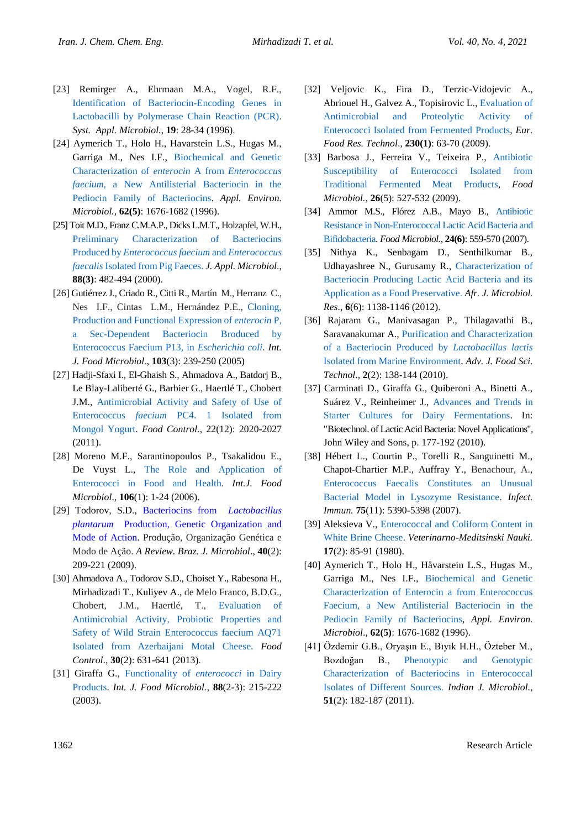- [23] Remirger A., Ehrmaan M.A., Vogel, R.F., [Identification of Bacteriocin-Encoding Genes in](https://www.sciencedirect.com/science/article/abs/pii/S0723202096800051)  [Lactobacilli by Polymerase Chain Reaction \(PCR\).](https://www.sciencedirect.com/science/article/abs/pii/S0723202096800051) *[Syst. Appl. Microbiol.](https://www.sciencedirect.com/science/journal/07232020)*, **19**: 28-34 (1996).
- [24] Aymerich T., Holo H., Havarstein L.S., Hugas M., Garriga M., Nes I.F., [Biochemical and Genetic](https://aem.asm.org/content/62/5/1676.short)  [Characterization of](https://aem.asm.org/content/62/5/1676.short) *enterocin* A from *Enterococcus faecium*[, a New Antilisterial Bacteriocin in the](https://aem.asm.org/content/62/5/1676.short)  [Pediocin Family of Bacteriocins.](https://aem.asm.org/content/62/5/1676.short) *Appl. Environ. Microbiol.,* **62(5)**: 1676-1682 (1996).
- [25] Toit M.D., Franz C.M.A.P., Dicks L.M.T., Holzapfel, W.H., [Preliminary Characterization of Bacteriocins](https://sfamjournals.onlinelibrary.wiley.com/doi/full/10.1046/j.1365-2672.2000.00986.x)  Produced by *[Enterococcus faecium](https://sfamjournals.onlinelibrary.wiley.com/doi/full/10.1046/j.1365-2672.2000.00986.x)* and *Enterococcus faecalis* [Isolated from Pig Faeces.](https://sfamjournals.onlinelibrary.wiley.com/doi/full/10.1046/j.1365-2672.2000.00986.x) *J. Appl. Microbiol*., **88(3)**: 482-494 (2000).
- [26] Gutiérrez J., Criado R., Citti R., Martín M., Herranz C., Nes I.F., Cintas L.M., Hernández P.E., [Cloning,](https://www.sciencedirect.com/science/article/abs/pii/S0168160505000905)  [Production and Functional Expression of](https://www.sciencedirect.com/science/article/abs/pii/S0168160505000905) *enterocin* P, [a Sec-Dependent Bacteriocin Broduced by](https://www.sciencedirect.com/science/article/abs/pii/S0168160505000905)  [Enterococcus Faecium P13, in](https://www.sciencedirect.com/science/article/abs/pii/S0168160505000905) *Escherichia coli*. *Int. J. Food Microbiol*., **103**(3): 239-250 (2005)
- [27] Hadji-Sfaxi I., El-Ghaish S., Ahmadova A., Batdorj B., Le Blay-Laliberté G., Barbier G., Haertlé T., Chobert J.M., [Antimicrobial Activity and Safety of Use of](https://www.sciencedirect.com/science/article/abs/pii/S0956713511002246)  Enterococcus *faecium* [PC4. 1 Isolated from](https://www.sciencedirect.com/science/article/abs/pii/S0956713511002246)  [Mongol Yogurt.](https://www.sciencedirect.com/science/article/abs/pii/S0956713511002246) *Food Control*., 22(12): 2020-2027 (2011).
- [28] Moreno M.F., Sarantinopoulos P., Tsakalidou E., De Vuyst L., [The Role and Application of](https://www.sciencedirect.com/science/article/abs/pii/S016816050500406X)  [Enterococci in Food and Health.](https://www.sciencedirect.com/science/article/abs/pii/S016816050500406X) *Int.J. Food Microbiol*., **106**(1): 1-24 (2006).
- [29] Todorov, S.D., [Bacteriocins from](https://www.scielo.br/scielo.php?pid=S1517-83822009000200001&script=sci_arttext) *Lactobacillus plantarum* [Production, Genetic Organization and](https://www.scielo.br/scielo.php?pid=S1517-83822009000200001&script=sci_arttext)  [Mode of Action.](https://www.scielo.br/scielo.php?pid=S1517-83822009000200001&script=sci_arttext) Produção, Organização Genética e Modo de Ação. *A Review. Braz. J. Microbiol*., **40**(2): 209-221 (2009).
- [30] Ahmadova A., Todorov S.D., Choiset Y., Rabesona H., Mirhadizadi T., Kuliyev A., de Melo Franco, B.D.G., Chobert, J.M., Haertlé, T., [Evaluation of](https://www.sciencedirect.com/science/article/abs/pii/S0956713512004574)  [Antimicrobial Activity, Probiotic Properties and](https://www.sciencedirect.com/science/article/abs/pii/S0956713512004574)  [Safety of Wild Strain Enterococcus faecium AQ71](https://www.sciencedirect.com/science/article/abs/pii/S0956713512004574)  [Isolated from Azerbaijani Motal Cheese.](https://www.sciencedirect.com/science/article/abs/pii/S0956713512004574) *Food Control*., **30**(2): 631-641 (2013).
- [31] Giraffa G., [Functionality of](https://www.sciencedirect.com/science/article/abs/pii/S0168160503001831) *enterococci* in Dairy [Products.](https://www.sciencedirect.com/science/article/abs/pii/S0168160503001831) *Int. J. Food Microbiol.*, **88**(2-3): 215-222 (2003).
- [32] Veljovic K., Fira D., Terzic-Vidojevic A., Abriouel H., Galvez A., Topisirovic L.[, Evaluation of](https://link.springer.com/article/10.1007/s00217-009-1137-6)  [Antimicrobial and Proteolytic Activity of](https://link.springer.com/article/10.1007/s00217-009-1137-6)  [Enterococci Isolated from Fermented](https://link.springer.com/article/10.1007/s00217-009-1137-6) Products, *Eur. Food Res. Technol*., **230(1)**: 63-70 (2009).
- [33] Barbosa J., Ferreira V., Teixeira P., [Antibiotic](https://www.sciencedirect.com/science/article/pii/S0740002009000628)  [Susceptibility of Enterococci Isolated from](https://www.sciencedirect.com/science/article/pii/S0740002009000628)  [Traditional Fermented Meat Products,](https://www.sciencedirect.com/science/article/pii/S0740002009000628) *Food Microbiol.,* **26**(5): 527-532 (2009).
- [34] Ammor M.S., Flórez A.B., Mayo B., [Antibiotic](https://www.sciencedirect.com/science/article/pii/S0740002006002103)  [Resistance in Non-Enterococcal Lactic Acid Bacteria and](https://www.sciencedirect.com/science/article/pii/S0740002006002103)  [Bifidobacteria.](https://www.sciencedirect.com/science/article/pii/S0740002006002103) *Food Microbiol.,* **24(6)**: 559-570 (2007).
- [35] Nithya K., Senbagam D., Senthilkumar B., Udhayashree N., Gurusamy R., [Characterization of](https://www.researchgate.net/profile/Senthilkumar_Balakrishnan2/publication/234166895_Characterization_of_bacteriocin_producing_lactic_acid_bacteria_and_its_application_as_a_food_preservative/links/0deec527b35dfef107000000/Characterization-of-bacteriocin-producing-lactic-acid-bacteria-and-its-application-as-a-food-preservative.pdf)  [Bacteriocin Producing Lactic Acid Bacteria and its](https://www.researchgate.net/profile/Senthilkumar_Balakrishnan2/publication/234166895_Characterization_of_bacteriocin_producing_lactic_acid_bacteria_and_its_application_as_a_food_preservative/links/0deec527b35dfef107000000/Characterization-of-bacteriocin-producing-lactic-acid-bacteria-and-its-application-as-a-food-preservative.pdf)  [Application as a Food Preservative.](https://www.researchgate.net/profile/Senthilkumar_Balakrishnan2/publication/234166895_Characterization_of_bacteriocin_producing_lactic_acid_bacteria_and_its_application_as_a_food_preservative/links/0deec527b35dfef107000000/Characterization-of-bacteriocin-producing-lactic-acid-bacteria-and-its-application-as-a-food-preservative.pdf) *Afr. J. Microbiol. Res*., **6**(6): 1138-1146 (2012).
- [36] Rajaram G., Manivasagan P., Thilagavathi B., Saravanakumar A., [Purification and Characterization](https://www.semanticscholar.org/paper/Purification-and-Characterization-of-a-Bacteriocin-Rajaram-Manivasagan/a1585eb0c867bcab91f6a6bc4518e040672a5e2f)  [of a Bacteriocin Produced by](https://www.semanticscholar.org/paper/Purification-and-Characterization-of-a-Bacteriocin-Rajaram-Manivasagan/a1585eb0c867bcab91f6a6bc4518e040672a5e2f) *Lactobacillus lactis* [Isolated from Marine Environment.](https://www.semanticscholar.org/paper/Purification-and-Characterization-of-a-Bacteriocin-Rajaram-Manivasagan/a1585eb0c867bcab91f6a6bc4518e040672a5e2f) *Adv. J. Food Sci. Technol*., **2**(2): 138-144 (2010).
- [37] Carminati D., Giraffa G., Quiberoni A., Binetti A., Suárez V., Reinheimer J., [Advances and Trends in](https://onlinelibrary.wiley.com/doi/abs/10.1002/9780813820866.ch10)  [Starter Cultures for Dairy Fermentations.](https://onlinelibrary.wiley.com/doi/abs/10.1002/9780813820866.ch10) In: "Biotechnol. of Lactic Acid Bacteria: Novel Applications", John Wiley and Sons, p. 177-192 (2010).
- [38] Hébert L., Courtin P., Torelli R., Sanguinetti M., Chapot-Chartier M.P., Auffray Y., Benachour, A.[,](https://iai.asm.org/content/75/11/5390.short) [Enterococcus Faecalis Constitutes an Unusual](https://iai.asm.org/content/75/11/5390.short)  [Bacterial Model in Lysozyme Resistance.](https://iai.asm.org/content/75/11/5390.short) *Infect. Immun.* **75**(11): 5390-5398 (2007).
- [39] Aleksieva V., Enterococcal and Coliform Content in [White Brine Cheese.](https://europepmc.org/article/med/6776684) *Veterinarno-Meditsinski Nauki.* **17**(2): 85-91 (1980).
- [40] Aymerich T., Holo H., Håvarstein L.S., Hugas M., Garriga M., Nes I.F., [Biochemical and Genetic](https://aem.asm.org/content/62/5/1676.short)  [Characterization of Enterocin a](https://aem.asm.org/content/62/5/1676.short) from Enterococcus [Faecium, a New Antilisterial Bacteriocin in the](https://aem.asm.org/content/62/5/1676.short)  [Pediocin Family of Bacteriocins,](https://aem.asm.org/content/62/5/1676.short) *Appl. Environ. Microbiol*., **62(5)**: 1676-1682 (1996).
- [41] Özdemir G.B., Oryaşın E., Bıyık H.H., Özteber M., Bozdoğan B., [Phenotypic and Genotypic](https://link.springer.com/article/10.1007/s12088-011-0143-0)  [Characterization of Bacteriocins in Enterococcal](https://link.springer.com/article/10.1007/s12088-011-0143-0)  [Isolates of Different Sources.](https://link.springer.com/article/10.1007/s12088-011-0143-0) *Indian J. Microbiol.,* **51**(2): 182-187 (2011).